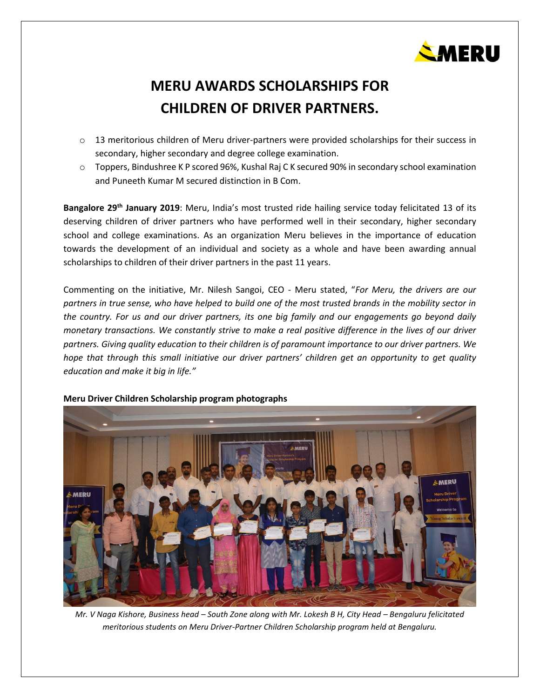

## **MERU AWARDS SCHOLARSHIPS FOR CHILDREN OF DRIVER PARTNERS.**

- o 13 meritorious children of Meru driver-partners were provided scholarships for their success in secondary, higher secondary and degree college examination.
- o Toppers, Bindushree K P scored 96%, Kushal Raj C K secured 90% in secondary school examination and Puneeth Kumar M secured distinction in B Com.

**Bangalore 29 th January 2019**: [Meru](https://www.meru.in/), India's most trusted ride hailing service today felicitated 13 of its deserving children of driver partners who have performed well in their secondary, higher secondary school and college examinations. As an organization Meru believes in the importance of education towards the development of an individual and society as a whole and have been awarding annual scholarships to children of their driver partners in the past 11 years.

Commenting on the initiative, Mr. Nilesh Sangoi, CEO - Meru stated, "*For Meru, the drivers are our partners in true sense, who have helped to build one of the most trusted brands in the mobility sector in the country. For us and our driver partners, its one big family and our engagements go beyond daily monetary transactions. We constantly strive to make a real positive difference in the lives of our driver partners. Giving quality education to their children is of paramount importance to our driver partners. We hope that through this small initiative our driver partners' children get an opportunity to get quality education and make it big in life."*



## **Meru Driver Children Scholarship program photographs**

*Mr. V Naga Kishore, Business head – South Zone along with Mr. Lokesh B H, City Head – Bengaluru felicitated meritorious students on Meru Driver-Partner Children Scholarship program held at Bengaluru.*